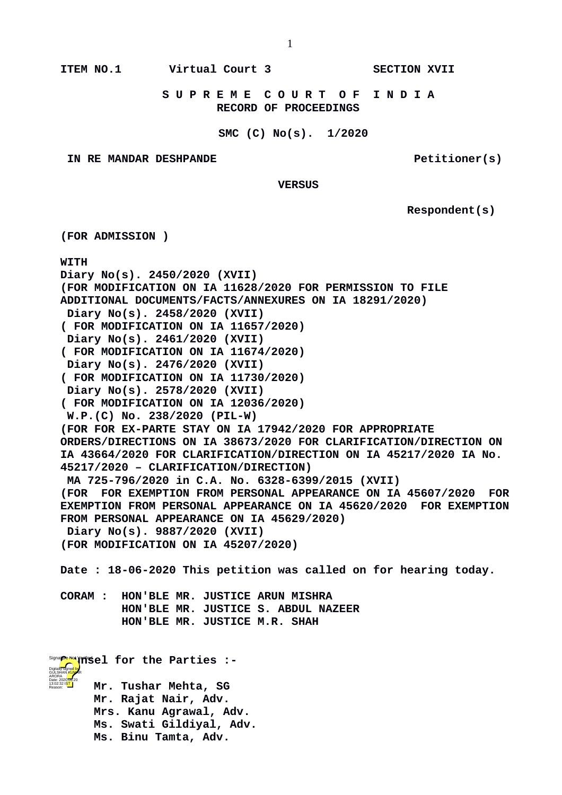**ITEM NO.1 Virtual Court 3 SECTION XVII**

 **S U P R E M E C O U R T O F I N D I A RECORD OF PROCEEDINGS**

## **SMC (C) No(s). 1/2020**

**IN RE MANDAR DESHPANDE Petitioner(s)** 

 **VERSUS**

 **Respondent(s)**

**(FOR ADMISSION ) WITH Diary No(s). 2450/2020 (XVII) (FOR MODIFICATION ON IA 11628/2020 FOR PERMISSION TO FILE ADDITIONAL DOCUMENTS/FACTS/ANNEXURES ON IA 18291/2020) Diary No(s). 2458/2020 (XVII) ( FOR MODIFICATION ON IA 11657/2020) Diary No(s). 2461/2020 (XVII) ( FOR MODIFICATION ON IA 11674/2020) Diary No(s). 2476/2020 (XVII) ( FOR MODIFICATION ON IA 11730/2020) Diary No(s). 2578/2020 (XVII) ( FOR MODIFICATION ON IA 12036/2020) W.P.(C) No. 238/2020 (PIL-W) (FOR FOR EX-PARTE STAY ON IA 17942/2020 FOR APPROPRIATE ORDERS/DIRECTIONS ON IA 38673/2020 FOR CLARIFICATION/DIRECTION ON IA 43664/2020 FOR CLARIFICATION/DIRECTION ON IA 45217/2020 IA No. 45217/2020 – CLARIFICATION/DIRECTION) MA 725-796/2020 in C.A. No. 6328-6399/2015 (XVII) (FOR FOR EXEMPTION FROM PERSONAL APPEARANCE ON IA 45607/2020 FOR EXEMPTION FROM PERSONAL APPEARANCE ON IA 45620/2020 FOR EXEMPTION FROM PERSONAL APPEARANCE ON IA 45629/2020) Diary No(s). 9887/2020 (XVII) (FOR MODIFICATION ON IA 45207/2020) Date : 18-06-2020 This petition was called on for hearing today. CORAM : HON'BLE MR. JUSTICE ARUN MISHRA HON'BLE MR. JUSTICE S. ABDUL NAZEER HON'BLE MR. JUSTICE M.R. SHAH Signa<mark>ge</mark>re Verified For the Parties :-**

**Mr. Tushar Mehta, SG Mr. Rajat Nair, Adv. Mrs. Kanu Agrawal, Adv. Ms. Swati Gildiyal, Adv. Ms. Binu Tamta, Adv.**

Digitally signed by GÜLSHAN <mark>KUM</mark>AR ARORA Date: 2020.06.20 13:02:32 IST Reason: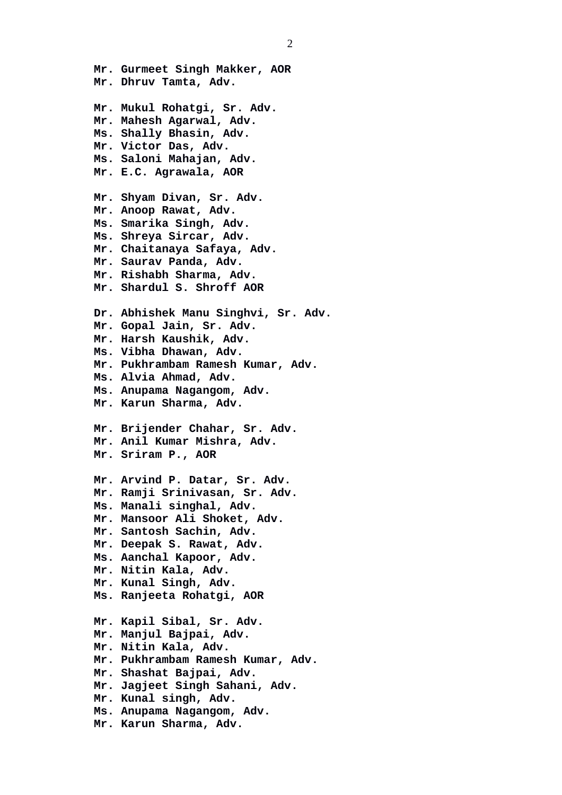**Mr. Gurmeet Singh Makker, AOR Mr. Dhruv Tamta, Adv. Mr. Mukul Rohatgi, Sr. Adv. Mr. Mahesh Agarwal, Adv. Ms. Shally Bhasin, Adv. Mr. Victor Das, Adv. Ms. Saloni Mahajan, Adv. Mr. E.C. Agrawala, AOR Mr. Shyam Divan, Sr. Adv. Mr. Anoop Rawat, Adv. Ms. Smarika Singh, Adv. Ms. Shreya Sircar, Adv. Mr. Chaitanaya Safaya, Adv. Mr. Saurav Panda, Adv. Mr. Rishabh Sharma, Adv. Mr. Shardul S. Shroff AOR Dr. Abhishek Manu Singhvi, Sr. Adv. Mr. Gopal Jain, Sr. Adv. Mr. Harsh Kaushik, Adv. Ms. Vibha Dhawan, Adv. Mr. Pukhrambam Ramesh Kumar, Adv. Ms. Alvia Ahmad, Adv. Ms. Anupama Nagangom, Adv. Mr. Karun Sharma, Adv. Mr. Brijender Chahar, Sr. Adv. Mr. Anil Kumar Mishra, Adv. Mr. Sriram P., AOR Mr. Arvind P. Datar, Sr. Adv. Mr. Ramji Srinivasan, Sr. Adv. Ms. Manali singhal, Adv. Mr. Mansoor Ali Shoket, Adv. Mr. Santosh Sachin, Adv. Mr. Deepak S. Rawat, Adv. Ms. Aanchal Kapoor, Adv. Mr. Nitin Kala, Adv. Mr. Kunal Singh, Adv. Ms. Ranjeeta Rohatgi, AOR Mr. Kapil Sibal, Sr. Adv. Mr. Manjul Bajpai, Adv. Mr. Nitin Kala, Adv. Mr. Pukhrambam Ramesh Kumar, Adv. Mr. Shashat Bajpai, Adv. Mr. Jagjeet Singh Sahani, Adv. Mr. Kunal singh, Adv. Ms. Anupama Nagangom, Adv. Mr. Karun Sharma, Adv.**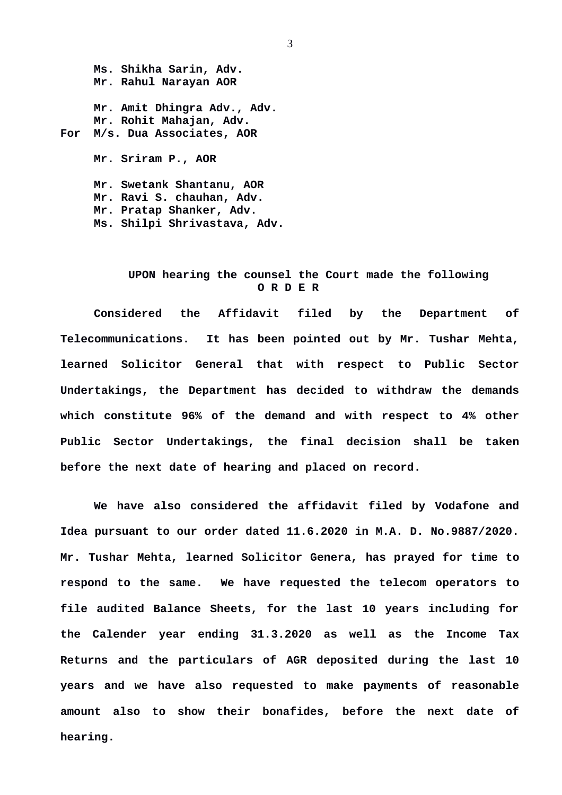**Ms. Shikha Sarin, Adv. Mr. Rahul Narayan AOR Mr. Amit Dhingra Adv., Adv. Mr. Rohit Mahajan, Adv. For M/s. Dua Associates, AOR Mr. Sriram P., AOR Mr. Swetank Shantanu, AOR Mr. Ravi S. chauhan, Adv.**

**Mr. Pratap Shanker, Adv.**

**Ms. Shilpi Shrivastava, Adv.**

## **UPON hearing the counsel the Court made the following O R D E R**

**Considered the Affidavit filed by the Department of Telecommunications. It has been pointed out by Mr. Tushar Mehta, learned Solicitor General that with respect to Public Sector Undertakings, the Department has decided to withdraw the demands which constitute 96% of the demand and with respect to 4% other Public Sector Undertakings, the final decision shall be taken before the next date of hearing and placed on record.**

**We have also considered the affidavit filed by Vodafone and Idea pursuant to our order dated 11.6.2020 in M.A. D. No.9887/2020. Mr. Tushar Mehta, learned Solicitor Genera, has prayed for time to respond to the same. We have requested the telecom operators to file audited Balance Sheets, for the last 10 years including for the Calender year ending 31.3.2020 as well as the Income Tax Returns and the particulars of AGR deposited during the last 10 years and we have also requested to make payments of reasonable amount also to show their bonafides, before the next date of hearing.**

3